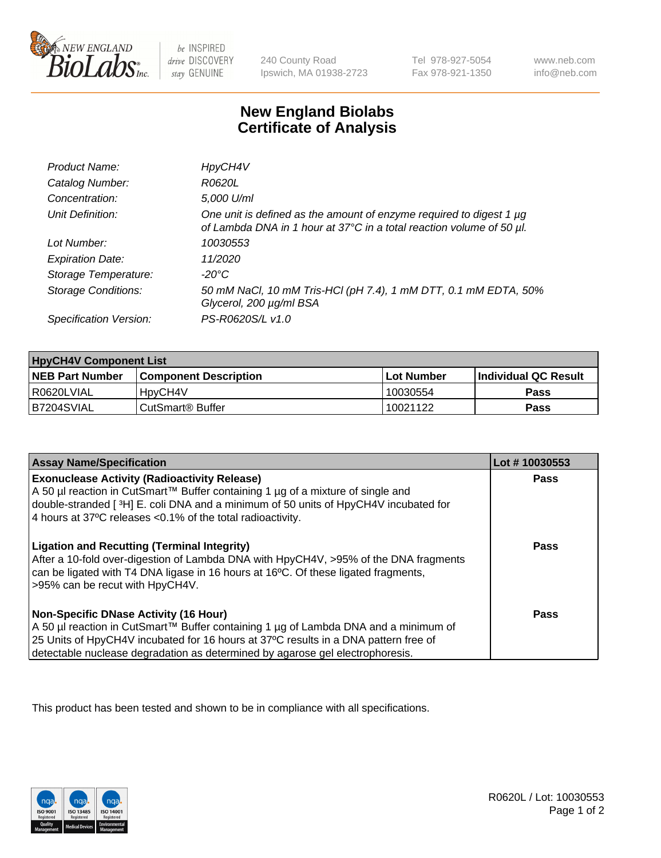

 $be$  INSPIRED drive DISCOVERY stay GENUINE

240 County Road Ipswich, MA 01938-2723 Tel 978-927-5054 Fax 978-921-1350 www.neb.com info@neb.com

## **New England Biolabs Certificate of Analysis**

| Product Name:              | HpyCH4V                                                                                                                                          |
|----------------------------|--------------------------------------------------------------------------------------------------------------------------------------------------|
| Catalog Number:            | R0620L                                                                                                                                           |
| Concentration:             | 5,000 U/ml                                                                                                                                       |
| Unit Definition:           | One unit is defined as the amount of enzyme required to digest 1 $\mu$ g<br>of Lambda DNA in 1 hour at 37°C in a total reaction volume of 50 µl. |
| Lot Number:                | 10030553                                                                                                                                         |
| <b>Expiration Date:</b>    | 11/2020                                                                                                                                          |
| Storage Temperature:       | $-20^{\circ}$ C                                                                                                                                  |
| <b>Storage Conditions:</b> | 50 mM NaCl, 10 mM Tris-HCl (pH 7.4), 1 mM DTT, 0.1 mM EDTA, 50%<br>Glycerol, 200 µg/ml BSA                                                       |
| Specification Version:     | PS-R0620S/L v1.0                                                                                                                                 |

| <b>HpyCH4V Component List</b> |                              |            |                             |  |  |
|-------------------------------|------------------------------|------------|-----------------------------|--|--|
| <b>NEB Part Number</b>        | l Component Description      | Lot Number | <b>Individual QC Result</b> |  |  |
| l R0620LVIAL                  | 'HpyCH4V                     | 10030554   | Pass                        |  |  |
| B7204SVIAL                    | CutSmart <sup>®</sup> Buffer | 10021122   | Pass                        |  |  |

| <b>Assay Name/Specification</b>                                                                                                                                                                                                                                                                             | Lot #10030553 |
|-------------------------------------------------------------------------------------------------------------------------------------------------------------------------------------------------------------------------------------------------------------------------------------------------------------|---------------|
| <b>Exonuclease Activity (Radioactivity Release)</b><br>A 50 µl reaction in CutSmart™ Buffer containing 1 µg of a mixture of single and                                                                                                                                                                      | Pass          |
| double-stranded [3H] E. coli DNA and a minimum of 50 units of HpyCH4V incubated for<br>4 hours at 37°C releases <0.1% of the total radioactivity.                                                                                                                                                           |               |
| <b>Ligation and Recutting (Terminal Integrity)</b><br>After a 10-fold over-digestion of Lambda DNA with HpyCH4V, >95% of the DNA fragments<br>can be ligated with T4 DNA ligase in 16 hours at 16°C. Of these ligated fragments,<br>>95% can be recut with HpyCH4V.                                         | <b>Pass</b>   |
| <b>Non-Specific DNase Activity (16 Hour)</b><br>A 50 µl reaction in CutSmart™ Buffer containing 1 µg of Lambda DNA and a minimum of<br>25 Units of HpyCH4V incubated for 16 hours at 37°C results in a DNA pattern free of<br>detectable nuclease degradation as determined by agarose gel electrophoresis. | <b>Pass</b>   |

This product has been tested and shown to be in compliance with all specifications.